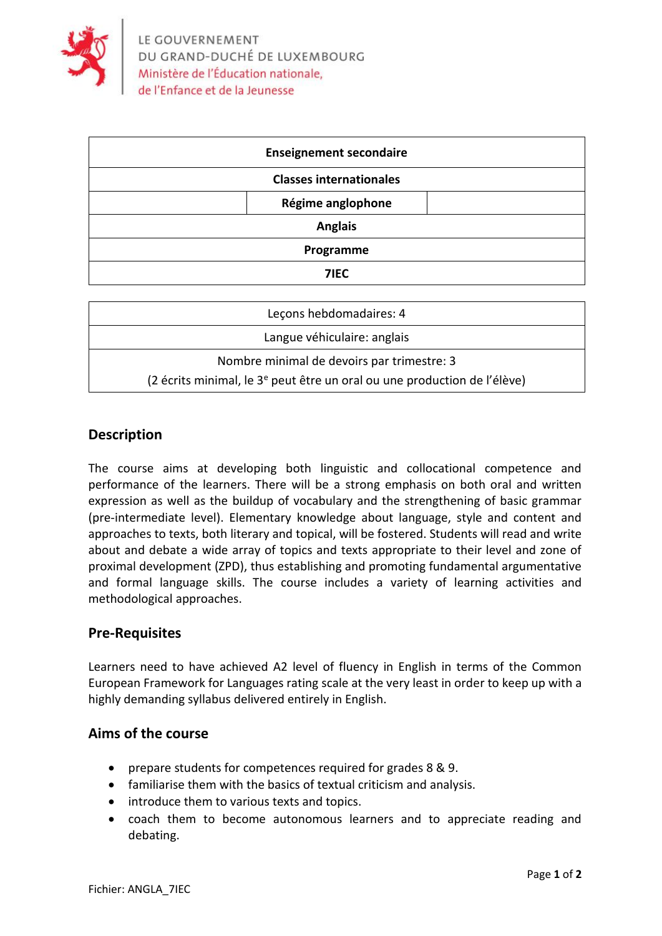

| <b>Enseignement secondaire</b> |  |
|--------------------------------|--|
| <b>Classes internationales</b> |  |
| Régime anglophone              |  |
| <b>Anglais</b>                 |  |
| Programme                      |  |
| 7IEC                           |  |

| Leçons hebdomadaires: 4                                                              |  |
|--------------------------------------------------------------------------------------|--|
| Langue véhiculaire: anglais                                                          |  |
| Nombre minimal de devoirs par trimestre: 3                                           |  |
| (2 écrits minimal, le 3 <sup>e</sup> peut être un oral ou une production de l'élève) |  |

# **Description**

The course aims at developing both linguistic and collocational competence and performance of the learners. There will be a strong emphasis on both oral and written expression as well as the buildup of vocabulary and the strengthening of basic grammar (pre-intermediate level). Elementary knowledge about language, style and content and approaches to texts, both literary and topical, will be fostered. Students will read and write about and debate a wide array of topics and texts appropriate to their level and zone of proximal development (ZPD), thus establishing and promoting fundamental argumentative and formal language skills. The course includes a variety of learning activities and methodological approaches.

### **Pre-Requisites**

Learners need to have achieved A2 level of fluency in English in terms of the Common European Framework for Languages rating scale at the very least in order to keep up with a highly demanding syllabus delivered entirely in English.

# **Aims of the course**

- prepare students for competences required for grades 8 & 9.
- familiarise them with the basics of textual criticism and analysis.
- introduce them to various texts and topics.
- coach them to become autonomous learners and to appreciate reading and debating.